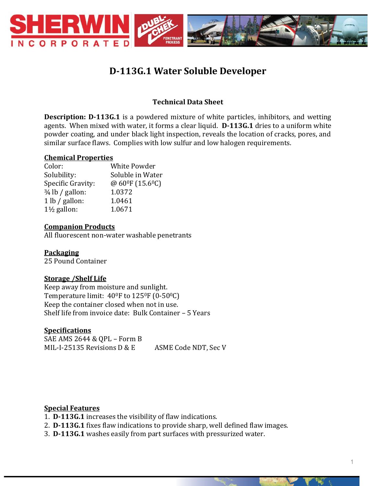

# **D-113G.1 Water Soluble Developer**

# **Technical Data Sheet**

**Description: D-113G.1** is a powdered mixture of white particles, inhibitors, and wetting agents. When mixed with water, it forms a clear liquid. **D-113G.1** dries to a uniform white powder coating, and under black light inspection, reveals the location of cracks, pores, and similar surface flaws. Complies with low sulfur and low halogen requirements.

#### **Chemical Properties**

| Color:                     | <b>White Powder</b>       |
|----------------------------|---------------------------|
| Solubility:                | Soluble in Water          |
| Specific Gravity:          | @ $60^{\circ}$ F (15.6°C) |
| $\frac{3}{4}$ lb / gallon: | 1.0372                    |
| 1 lb / gallon:             | 1.0461                    |
| $1\frac{1}{2}$ gallon:     | 1.0671                    |

#### **Companion Products**

All fluorescent non-water washable penetrants

#### **Packaging**

25 Pound Container

#### **Storage /Shelf Life**

Keep away from moisture and sunlight. Temperature limit: 40<sup>o</sup>F to 125<sup>o</sup>F (0-50<sup>o</sup>C) Keep the container closed when not in use. Shelf life from invoice date: Bulk Container – 5 Years

#### **Specifications**

SAE AMS 2644 & QPL – Form B MIL-I-25135 Revisions D & E ASME Code NDT, Sec V

#### **Special Features**

- 1. **D-113G.1** increases the visibility of flaw indications.
- 2. **D-113G.1** fixes flaw indications to provide sharp, well defined flaw images.
- 3. **D-113G.1** washes easily from part surfaces with pressurized water.